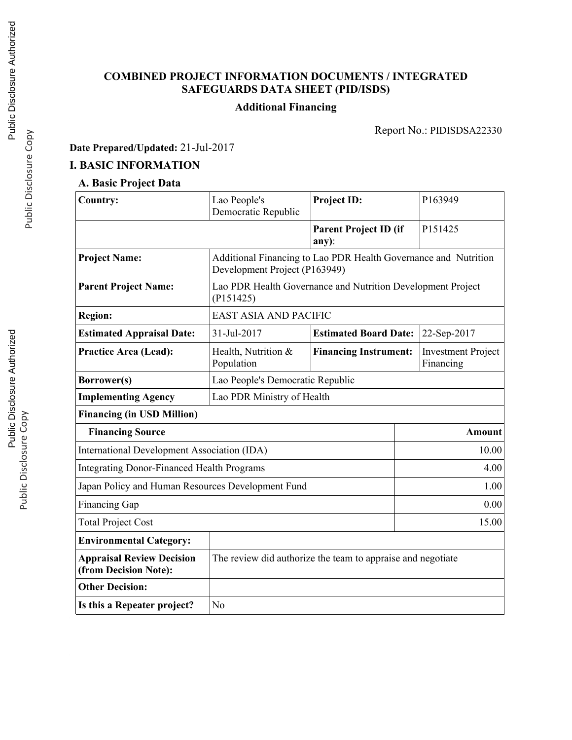# **COMBINED PROJECT INFORMATION DOCUMENTS / INTEGRATED SAFEGUARDS DATA SHEET (PID/ISDS)**

# **Additional Financing**

Report No.: PIDISDSA22330

**Date Prepared/Updated:** 21-Jul-2017

# **I. BASIC INFORMATION**

# **A. Basic Project Data**

| Country:                                                  | Lao People's<br>Democratic Republic                                                              | <b>Project ID:</b>                    | P163949                                |  |  |
|-----------------------------------------------------------|--------------------------------------------------------------------------------------------------|---------------------------------------|----------------------------------------|--|--|
|                                                           |                                                                                                  | <b>Parent Project ID (if</b><br>any): | P151425                                |  |  |
| <b>Project Name:</b>                                      | Additional Financing to Lao PDR Health Governance and Nutrition<br>Development Project (P163949) |                                       |                                        |  |  |
| <b>Parent Project Name:</b>                               | Lao PDR Health Governance and Nutrition Development Project<br>(P151425)                         |                                       |                                        |  |  |
| <b>Region:</b>                                            | <b>EAST ASIA AND PACIFIC</b>                                                                     |                                       |                                        |  |  |
| <b>Estimated Appraisal Date:</b>                          | 31-Jul-2017                                                                                      | <b>Estimated Board Date:</b>          | 22-Sep-2017                            |  |  |
| <b>Practice Area (Lead):</b>                              | Health, Nutrition &<br>Population                                                                | <b>Financing Instrument:</b>          | <b>Investment Project</b><br>Financing |  |  |
| Borrower(s)                                               | Lao People's Democratic Republic                                                                 |                                       |                                        |  |  |
| <b>Implementing Agency</b>                                | Lao PDR Ministry of Health                                                                       |                                       |                                        |  |  |
| <b>Financing (in USD Million)</b>                         |                                                                                                  |                                       |                                        |  |  |
| <b>Financing Source</b>                                   |                                                                                                  |                                       | <b>Amount</b>                          |  |  |
| <b>International Development Association (IDA)</b>        |                                                                                                  |                                       | 10.00                                  |  |  |
| <b>Integrating Donor-Financed Health Programs</b>         |                                                                                                  |                                       | 4.00                                   |  |  |
| Japan Policy and Human Resources Development Fund         |                                                                                                  |                                       | 1.00                                   |  |  |
| <b>Financing Gap</b>                                      |                                                                                                  |                                       | 0.00                                   |  |  |
| <b>Total Project Cost</b>                                 |                                                                                                  |                                       | 15.00                                  |  |  |
| <b>Environmental Category:</b>                            |                                                                                                  |                                       |                                        |  |  |
| <b>Appraisal Review Decision</b><br>(from Decision Note): | The review did authorize the team to appraise and negotiate                                      |                                       |                                        |  |  |
| <b>Other Decision:</b>                                    |                                                                                                  |                                       |                                        |  |  |
| Is this a Repeater project?                               | N <sub>o</sub>                                                                                   |                                       |                                        |  |  |

Public Disclosure Copy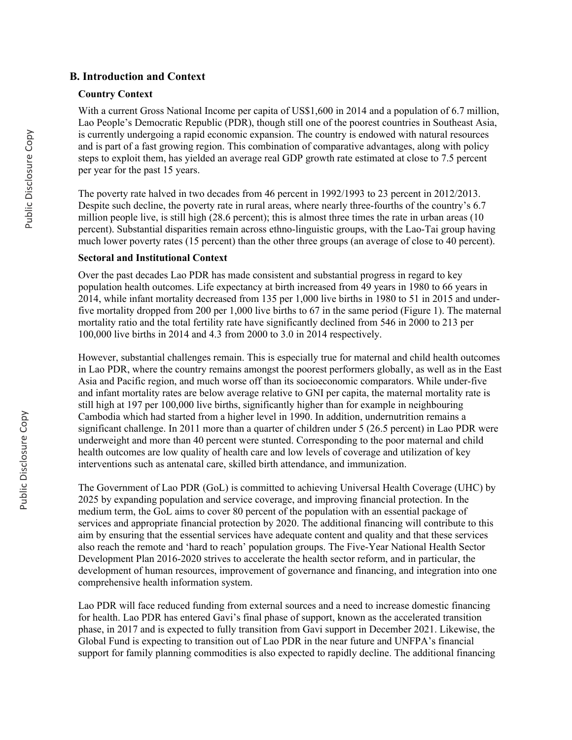## **B. Introduction and Context**

#### **Country Context**

With a current Gross National Income per capita of US\$1,600 in 2014 and a population of 6.7 million, Lao People's Democratic Republic (PDR), though still one of the poorest countries in Southeast Asia, is currently undergoing a rapid economic expansion. The country is endowed with natural resources and is part of a fast growing region. This combination of comparative advantages, along with policy steps to exploit them, has yielded an average real GDP growth rate estimated at close to 7.5 percent per year for the past 15 years.

The poverty rate halved in two decades from 46 percent in 1992/1993 to 23 percent in 2012/2013. Despite such decline, the poverty rate in rural areas, where nearly three-fourths of the country's 6.7 million people live, is still high (28.6 percent); this is almost three times the rate in urban areas (10 percent). Substantial disparities remain across ethno-linguistic groups, with the Lao-Tai group having much lower poverty rates (15 percent) than the other three groups (an average of close to 40 percent).

### **Sectoral and Institutional Context**

Over the past decades Lao PDR has made consistent and substantial progress in regard to key population health outcomes. Life expectancy at birth increased from 49 years in 1980 to 66 years in 2014, while infant mortality decreased from 135 per 1,000 live births in 1980 to 51 in 2015 and underfive mortality dropped from 200 per 1,000 live births to 67 in the same period (Figure 1). The maternal mortality ratio and the total fertility rate have significantly declined from 546 in 2000 to 213 per 100,000 live births in 2014 and 4.3 from 2000 to 3.0 in 2014 respectively.

However, substantial challenges remain. This is especially true for maternal and child health outcomes in Lao PDR, where the country remains amongst the poorest performers globally, as well as in the East Asia and Pacific region, and much worse off than its socioeconomic comparators. While under-five and infant mortality rates are below average relative to GNI per capita, the maternal mortality rate is still high at 197 per 100,000 live births, significantly higher than for example in neighbouring Cambodia which had started from a higher level in 1990. In addition, undernutrition remains a significant challenge. In 2011 more than a quarter of children under 5 (26.5 percent) in Lao PDR were underweight and more than 40 percent were stunted. Corresponding to the poor maternal and child health outcomes are low quality of health care and low levels of coverage and utilization of key interventions such as antenatal care, skilled birth attendance, and immunization.

The Government of Lao PDR (GoL) is committed to achieving Universal Health Coverage (UHC) by 2025 by expanding population and service coverage, and improving financial protection. In the medium term, the GoL aims to cover 80 percent of the population with an essential package of services and appropriate financial protection by 2020. The additional financing will contribute to this aim by ensuring that the essential services have adequate content and quality and that these services also reach the remote and 'hard to reach' population groups. The Five-Year National Health Sector Development Plan 2016-2020 strives to accelerate the health sector reform, and in particular, the development of human resources, improvement of governance and financing, and integration into one comprehensive health information system.

Lao PDR will face reduced funding from external sources and a need to increase domestic financing for health. Lao PDR has entered Gavi's final phase of support, known as the accelerated transition phase, in 2017 and is expected to fully transition from Gavi support in December 2021. Likewise, the Global Fund is expecting to transition out of Lao PDR in the near future and UNFPA's financial support for family planning commodities is also expected to rapidly decline. The additional financing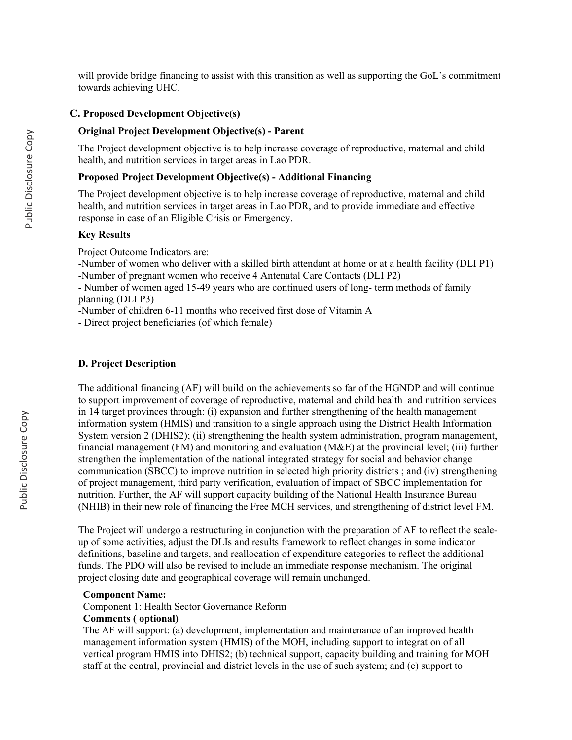will provide bridge financing to assist with this transition as well as supporting the GoL's commitment towards achieving UHC.

### **C. Proposed Development Objective(s)**

### **Original Project Development Objective(s) - Parent**

The Project development objective is to help increase coverage of reproductive, maternal and child health, and nutrition services in target areas in Lao PDR.

### **Proposed Project Development Objective(s) - Additional Financing**

The Project development objective is to help increase coverage of reproductive, maternal and child health, and nutrition services in target areas in Lao PDR, and to provide immediate and effective response in case of an Eligible Crisis or Emergency.

#### **Key Results**

Project Outcome Indicators are:

-Number of women who deliver with a skilled birth attendant at home or at a health facility (DLI P1) -Number of pregnant women who receive 4 Antenatal Care Contacts (DLI P2)

- Number of women aged 15-49 years who are continued users of long- term methods of family planning (DLI P3)

-Number of children 6-11 months who received first dose of Vitamin A

- Direct project beneficiaries (of which female)

### **D. Project Description**

The additional financing (AF) will build on the achievements so far of the HGNDP and will continue to support improvement of coverage of reproductive, maternal and child health and nutrition services in 14 target provinces through: (i) expansion and further strengthening of the health management information system (HMIS) and transition to a single approach using the District Health Information System version 2 (DHIS2); (ii) strengthening the health system administration, program management, financial management (FM) and monitoring and evaluation (M&E) at the provincial level; (iii) further strengthen the implementation of the national integrated strategy for social and behavior change communication (SBCC) to improve nutrition in selected high priority districts ; and (iv) strengthening of project management, third party verification, evaluation of impact of SBCC implementation for nutrition. Further, the AF will support capacity building of the National Health Insurance Bureau (NHIB) in their new role of financing the Free MCH services, and strengthening of district level FM.

The Project will undergo a restructuring in conjunction with the preparation of AF to reflect the scaleup of some activities, adjust the DLIs and results framework to reflect changes in some indicator definitions, baseline and targets, and reallocation of expenditure categories to reflect the additional funds. The PDO will also be revised to include an immediate response mechanism. The original project closing date and geographical coverage will remain unchanged.

#### **Component Name:**

Component 1: Health Sector Governance Reform

#### **Comments ( optional)**

The AF will support: (a) development, implementation and maintenance of an improved health management information system (HMIS) of the MOH, including support to integration of all vertical program HMIS into DHIS2; (b) technical support, capacity building and training for MOH staff at the central, provincial and district levels in the use of such system; and (c) support to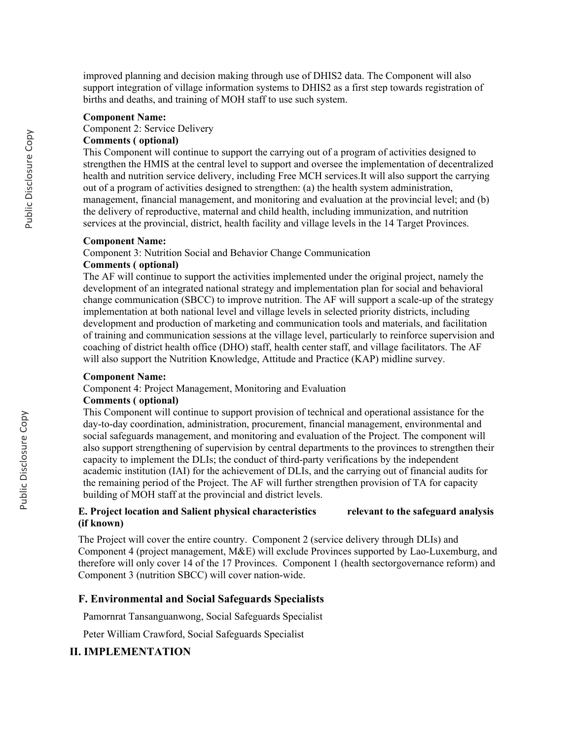improved planning and decision making through use of DHIS2 data. The Component will also support integration of village information systems to DHIS2 as a first step towards registration of births and deaths, and training of MOH staff to use such system.

#### **Component Name:**

Component 2: Service Delivery

### **Comments ( optional)**

This Component will continue to support the carrying out of a program of activities designed to strengthen the HMIS at the central level to support and oversee the implementation of decentralized health and nutrition service delivery, including Free MCH services.It will also support the carrying out of a program of activities designed to strengthen: (a) the health system administration, management, financial management, and monitoring and evaluation at the provincial level; and (b) the delivery of reproductive, maternal and child health, including immunization, and nutrition services at the provincial, district, health facility and village levels in the 14 Target Provinces.

#### **Component Name:**

Component 3: Nutrition Social and Behavior Change Communication

### **Comments ( optional)**

The AF will continue to support the activities implemented under the original project, namely the development of an integrated national strategy and implementation plan for social and behavioral change communication (SBCC) to improve nutrition. The AF will support a scale-up of the strategy implementation at both national level and village levels in selected priority districts, including development and production of marketing and communication tools and materials, and facilitation of training and communication sessions at the village level, particularly to reinforce supervision and coaching of district health office (DHO) staff, health center staff, and village facilitators. The AF will also support the Nutrition Knowledge, Attitude and Practice (KAP) midline survey.

#### **Component Name:**

Component 4: Project Management, Monitoring and Evaluation

#### **Comments ( optional)**

This Component will continue to support provision of technical and operational assistance for the day-to-day coordination, administration, procurement, financial management, environmental and social safeguards management, and monitoring and evaluation of the Project. The component will also support strengthening of supervision by central departments to the provinces to strengthen their capacity to implement the DLIs; the conduct of third-party verifications by the independent academic institution (IAI) for the achievement of DLIs, and the carrying out of financial audits for the remaining period of the Project. The AF will further strengthen provision of TA for capacity building of MOH staff at the provincial and district levels.

### **E. Project location and Salient physical characteristics relevant to the safeguard analysis (if known)**

The Project will cover the entire country. Component 2 (service delivery through DLIs) and Component 4 (project management, M&E) will exclude Provinces supported by Lao-Luxemburg, and therefore will only cover 14 of the 17 Provinces. Component 1 (health sectorgovernance reform) and Component 3 (nutrition SBCC) will cover nation-wide.

#### **F. Environmental and Social Safeguards Specialists**

Pamornrat Tansanguanwong, Social Safeguards Specialist

Peter William Crawford, Social Safeguards Specialist

# **II. IMPLEMENTATION**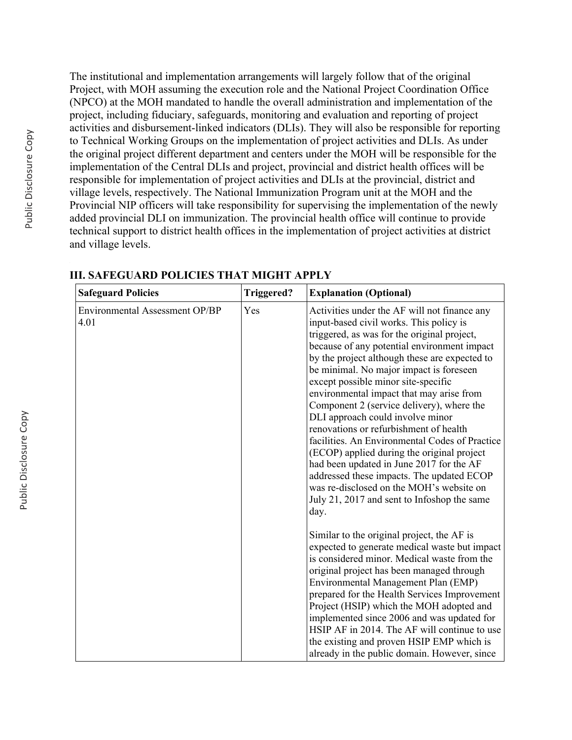The institutional and implementation arrangements will largely follow that of the original Project, with MOH assuming the execution role and the National Project Coordination Office (NPCO) at the MOH mandated to handle the overall administration and implementation of the project, including fiduciary, safeguards, monitoring and evaluation and reporting of project activities and disbursement-linked indicators (DLIs). They will also be responsible for reporting to Technical Working Groups on the implementation of project activities and DLIs. As under the original project different department and centers under the MOH will be responsible for the implementation of the Central DLIs and project, provincial and district health offices will be responsible for implementation of project activities and DLIs at the provincial, district and village levels, respectively. The National Immunization Program unit at the MOH and the Provincial NIP officers will take responsibility for supervising the implementation of the newly added provincial DLI on immunization. The provincial health office will continue to provide technical support to district health offices in the implementation of project activities at district and village levels.

| <b>Safeguard Policies</b>              | <b>Triggered?</b> | <b>Explanation (Optional)</b>                                                                                                                                                                                                                                                                                                                                                                                                                                                                                                                                                                                                                                                                                                                                                               |
|----------------------------------------|-------------------|---------------------------------------------------------------------------------------------------------------------------------------------------------------------------------------------------------------------------------------------------------------------------------------------------------------------------------------------------------------------------------------------------------------------------------------------------------------------------------------------------------------------------------------------------------------------------------------------------------------------------------------------------------------------------------------------------------------------------------------------------------------------------------------------|
| Environmental Assessment OP/BP<br>4.01 | Yes               | Activities under the AF will not finance any<br>input-based civil works. This policy is<br>triggered, as was for the original project,<br>because of any potential environment impact<br>by the project although these are expected to<br>be minimal. No major impact is foreseen<br>except possible minor site-specific<br>environmental impact that may arise from<br>Component 2 (service delivery), where the<br>DLI approach could involve minor<br>renovations or refurbishment of health<br>facilities. An Environmental Codes of Practice<br>(ECOP) applied during the original project<br>had been updated in June 2017 for the AF<br>addressed these impacts. The updated ECOP<br>was re-disclosed on the MOH's website on<br>July 21, 2017 and sent to Infoshop the same<br>day. |
|                                        |                   | Similar to the original project, the AF is<br>expected to generate medical waste but impact<br>is considered minor. Medical waste from the<br>original project has been managed through<br>Environmental Management Plan (EMP)<br>prepared for the Health Services Improvement<br>Project (HSIP) which the MOH adopted and<br>implemented since 2006 and was updated for<br>HSIP AF in 2014. The AF will continue to use<br>the existing and proven HSIP EMP which is<br>already in the public domain. However, since                                                                                                                                                                                                                                                                       |

**III. SAFEGUARD POLICIES THAT MIGHT APPLY**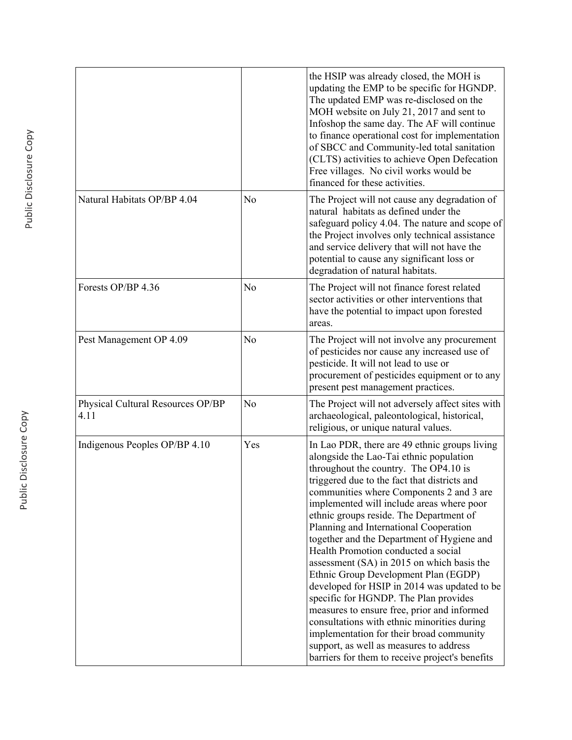|                                           |                | the HSIP was already closed, the MOH is<br>updating the EMP to be specific for HGNDP.<br>The updated EMP was re-disclosed on the<br>MOH website on July 21, 2017 and sent to<br>Infoshop the same day. The AF will continue<br>to finance operational cost for implementation<br>of SBCC and Community-led total sanitation<br>(CLTS) activities to achieve Open Defecation<br>Free villages. No civil works would be<br>financed for these activities.                                                                                                                                                                                                                                                                                                                                                                                                                     |
|-------------------------------------------|----------------|-----------------------------------------------------------------------------------------------------------------------------------------------------------------------------------------------------------------------------------------------------------------------------------------------------------------------------------------------------------------------------------------------------------------------------------------------------------------------------------------------------------------------------------------------------------------------------------------------------------------------------------------------------------------------------------------------------------------------------------------------------------------------------------------------------------------------------------------------------------------------------|
| Natural Habitats OP/BP 4.04               | N <sub>0</sub> | The Project will not cause any degradation of<br>natural habitats as defined under the<br>safeguard policy 4.04. The nature and scope of<br>the Project involves only technical assistance<br>and service delivery that will not have the<br>potential to cause any significant loss or<br>degradation of natural habitats.                                                                                                                                                                                                                                                                                                                                                                                                                                                                                                                                                 |
| Forests OP/BP 4.36                        | N <sub>0</sub> | The Project will not finance forest related<br>sector activities or other interventions that<br>have the potential to impact upon forested<br>areas.                                                                                                                                                                                                                                                                                                                                                                                                                                                                                                                                                                                                                                                                                                                        |
| Pest Management OP 4.09                   | N <sub>0</sub> | The Project will not involve any procurement<br>of pesticides nor cause any increased use of<br>pesticide. It will not lead to use or<br>procurement of pesticides equipment or to any<br>present pest management practices.                                                                                                                                                                                                                                                                                                                                                                                                                                                                                                                                                                                                                                                |
| Physical Cultural Resources OP/BP<br>4.11 | N <sub>o</sub> | The Project will not adversely affect sites with<br>archaeological, paleontological, historical,<br>religious, or unique natural values.                                                                                                                                                                                                                                                                                                                                                                                                                                                                                                                                                                                                                                                                                                                                    |
| Indigenous Peoples OP/BP 4.10             | Yes            | In Lao PDR, there are 49 ethnic groups living<br>alongside the Lao-Tai ethnic population<br>throughout the country. The OP4.10 is<br>triggered due to the fact that districts and<br>communities where Components 2 and 3 are<br>implemented will include areas where poor<br>ethnic groups reside. The Department of<br>Planning and International Cooperation<br>together and the Department of Hygiene and<br>Health Promotion conducted a social<br>assessment (SA) in 2015 on which basis the<br>Ethnic Group Development Plan (EGDP)<br>developed for HSIP in 2014 was updated to be<br>specific for HGNDP. The Plan provides<br>measures to ensure free, prior and informed<br>consultations with ethnic minorities during<br>implementation for their broad community<br>support, as well as measures to address<br>barriers for them to receive project's benefits |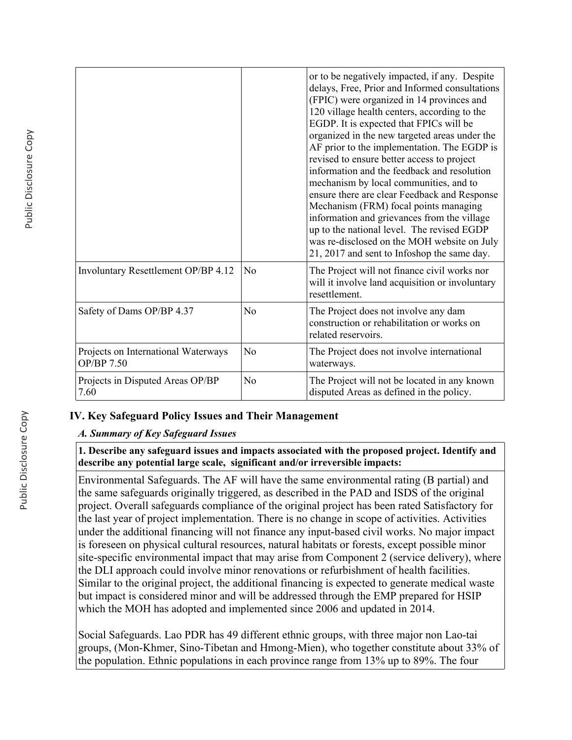|                                                   |                | or to be negatively impacted, if any. Despite<br>delays, Free, Prior and Informed consultations<br>(FPIC) were organized in 14 provinces and<br>120 village health centers, according to the<br>EGDP. It is expected that FPICs will be<br>organized in the new targeted areas under the<br>AF prior to the implementation. The EGDP is<br>revised to ensure better access to project<br>information and the feedback and resolution<br>mechanism by local communities, and to<br>ensure there are clear Feedback and Response<br>Mechanism (FRM) focal points managing<br>information and grievances from the village<br>up to the national level. The revised EGDP<br>was re-disclosed on the MOH website on July<br>21, 2017 and sent to Infoshop the same day. |
|---------------------------------------------------|----------------|--------------------------------------------------------------------------------------------------------------------------------------------------------------------------------------------------------------------------------------------------------------------------------------------------------------------------------------------------------------------------------------------------------------------------------------------------------------------------------------------------------------------------------------------------------------------------------------------------------------------------------------------------------------------------------------------------------------------------------------------------------------------|
| Involuntary Resettlement OP/BP 4.12               | N <sub>0</sub> | The Project will not finance civil works nor<br>will it involve land acquisition or involuntary<br>resettlement.                                                                                                                                                                                                                                                                                                                                                                                                                                                                                                                                                                                                                                                   |
| Safety of Dams OP/BP 4.37                         | N <sub>0</sub> | The Project does not involve any dam<br>construction or rehabilitation or works on<br>related reservoirs.                                                                                                                                                                                                                                                                                                                                                                                                                                                                                                                                                                                                                                                          |
| Projects on International Waterways<br>OP/BP 7.50 | N <sub>0</sub> | The Project does not involve international<br>waterways.                                                                                                                                                                                                                                                                                                                                                                                                                                                                                                                                                                                                                                                                                                           |
| Projects in Disputed Areas OP/BP<br>7.60          | N <sub>o</sub> | The Project will not be located in any known<br>disputed Areas as defined in the policy.                                                                                                                                                                                                                                                                                                                                                                                                                                                                                                                                                                                                                                                                           |

# **IV. Key Safeguard Policy Issues and Their Management**

## *A. Summary of Key Safeguard Issues*

**1. Describe any safeguard issues and impacts associated with the proposed project. Identify and describe any potential large scale, significant and/or irreversible impacts:**

Environmental Safeguards. The AF will have the same environmental rating (B partial) and the same safeguards originally triggered, as described in the PAD and ISDS of the original project. Overall safeguards compliance of the original project has been rated Satisfactory for the last year of project implementation. There is no change in scope of activities. Activities under the additional financing will not finance any input-based civil works. No major impact is foreseen on physical cultural resources, natural habitats or forests, except possible minor site-specific environmental impact that may arise from Component 2 (service delivery), where the DLI approach could involve minor renovations or refurbishment of health facilities. Similar to the original project, the additional financing is expected to generate medical waste but impact is considered minor and will be addressed through the EMP prepared for HSIP which the MOH has adopted and implemented since 2006 and updated in 2014.

Social Safeguards. Lao PDR has 49 different ethnic groups, with three major non Lao-tai groups, (Mon-Khmer, Sino-Tibetan and Hmong-Mien), who together constitute about 33% of the population. Ethnic populations in each province range from 13% up to 89%. The four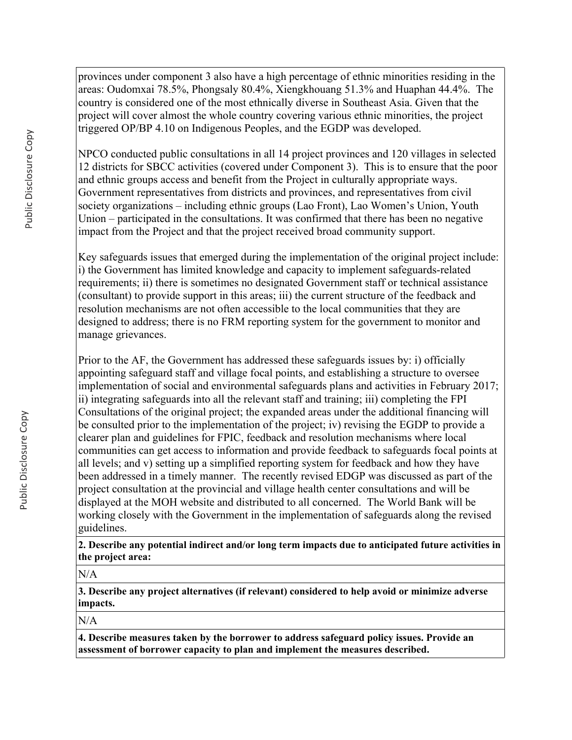provinces under component 3 also have a high percentage of ethnic minorities residing in the areas: Oudomxai 78.5%, Phongsaly 80.4%, Xiengkhouang 51.3% and Huaphan 44.4%. The country is considered one of the most ethnically diverse in Southeast Asia. Given that the project will cover almost the whole country covering various ethnic minorities, the project triggered OP/BP 4.10 on Indigenous Peoples, and the EGDP was developed.

NPCO conducted public consultations in all 14 project provinces and 120 villages in selected 12 districts for SBCC activities (covered under Component 3). This is to ensure that the poor and ethnic groups access and benefit from the Project in culturally appropriate ways. Government representatives from districts and provinces, and representatives from civil society organizations – including ethnic groups (Lao Front), Lao Women's Union, Youth Union – participated in the consultations. It was confirmed that there has been no negative impact from the Project and that the project received broad community support.

Key safeguards issues that emerged during the implementation of the original project include: i) the Government has limited knowledge and capacity to implement safeguards-related requirements; ii) there is sometimes no designated Government staff or technical assistance (consultant) to provide support in this areas; iii) the current structure of the feedback and resolution mechanisms are not often accessible to the local communities that they are designed to address; there is no FRM reporting system for the government to monitor and manage grievances.

Prior to the AF, the Government has addressed these safeguards issues by: i) officially appointing safeguard staff and village focal points, and establishing a structure to oversee implementation of social and environmental safeguards plans and activities in February 2017; ii) integrating safeguards into all the relevant staff and training; iii) completing the FPI Consultations of the original project; the expanded areas under the additional financing will be consulted prior to the implementation of the project; iv) revising the EGDP to provide a clearer plan and guidelines for FPIC, feedback and resolution mechanisms where local communities can get access to information and provide feedback to safeguards focal points at all levels; and v) setting up a simplified reporting system for feedback and how they have been addressed in a timely manner. The recently revised EDGP was discussed as part of the project consultation at the provincial and village health center consultations and will be displayed at the MOH website and distributed to all concerned. The World Bank will be working closely with the Government in the implementation of safeguards along the revised guidelines.

**2. Describe any potential indirect and/or long term impacts due to anticipated future activities in the project area:**

 $N/A$ 

**3. Describe any project alternatives (if relevant) considered to help avoid or minimize adverse impacts.**

N/A

**4. Describe measures taken by the borrower to address safeguard policy issues. Provide an assessment of borrower capacity to plan and implement the measures described.**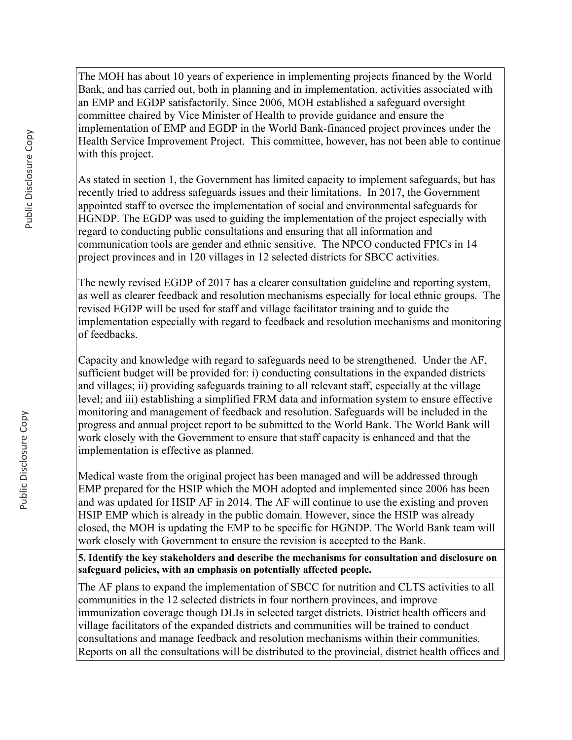The MOH has about 10 years of experience in implementing projects financed by the World Bank, and has carried out, both in planning and in implementation, activities associated with an EMP and EGDP satisfactorily. Since 2006, MOH established a safeguard oversight committee chaired by Vice Minister of Health to provide guidance and ensure the implementation of EMP and EGDP in the World Bank-financed project provinces under the Health Service Improvement Project. This committee, however, has not been able to continue with this project.

As stated in section 1, the Government has limited capacity to implement safeguards, but has recently tried to address safeguards issues and their limitations. In 2017, the Government appointed staff to oversee the implementation of social and environmental safeguards for HGNDP. The EGDP was used to guiding the implementation of the project especially with regard to conducting public consultations and ensuring that all information and communication tools are gender and ethnic sensitive. The NPCO conducted FPICs in 14 project provinces and in 120 villages in 12 selected districts for SBCC activities.

The newly revised EGDP of 2017 has a clearer consultation guideline and reporting system, as well as clearer feedback and resolution mechanisms especially for local ethnic groups. The revised EGDP will be used for staff and village facilitator training and to guide the implementation especially with regard to feedback and resolution mechanisms and monitoring of feedbacks.

Capacity and knowledge with regard to safeguards need to be strengthened. Under the AF, sufficient budget will be provided for: i) conducting consultations in the expanded districts and villages; ii) providing safeguards training to all relevant staff, especially at the village level; and iii) establishing a simplified FRM data and information system to ensure effective monitoring and management of feedback and resolution. Safeguards will be included in the progress and annual project report to be submitted to the World Bank. The World Bank will work closely with the Government to ensure that staff capacity is enhanced and that the implementation is effective as planned.

Medical waste from the original project has been managed and will be addressed through EMP prepared for the HSIP which the MOH adopted and implemented since 2006 has been and was updated for HSIP AF in 2014. The AF will continue to use the existing and proven HSIP EMP which is already in the public domain. However, since the HSIP was already closed, the MOH is updating the EMP to be specific for HGNDP. The World Bank team will work closely with Government to ensure the revision is accepted to the Bank.

**5. Identify the key stakeholders and describe the mechanisms for consultation and disclosure on safeguard policies, with an emphasis on potentially affected people.**

The AF plans to expand the implementation of SBCC for nutrition and CLTS activities to all communities in the 12 selected districts in four northern provinces, and improve immunization coverage though DLIs in selected target districts. District health officers and village facilitators of the expanded districts and communities will be trained to conduct consultations and manage feedback and resolution mechanisms within their communities. Reports on all the consultations will be distributed to the provincial, district health offices and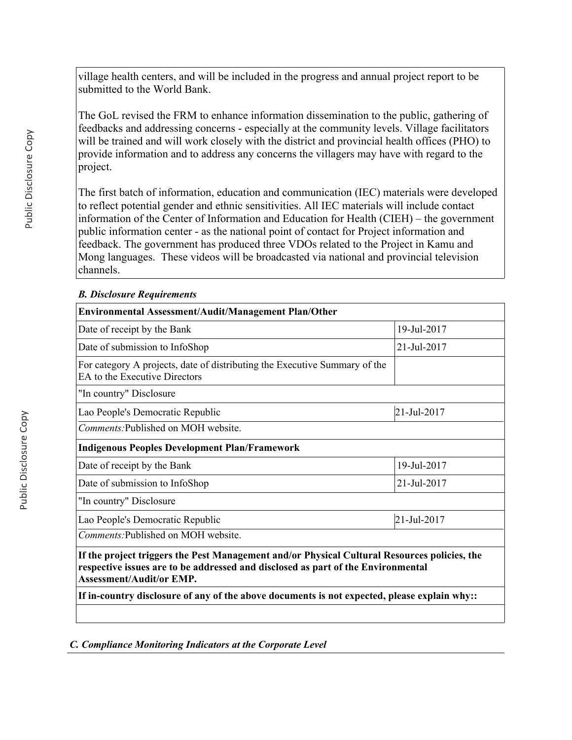village health centers, and will be included in the progress and annual project report to be submitted to the World Bank.

The GoL revised the FRM to enhance information dissemination to the public, gathering of feedbacks and addressing concerns - especially at the community levels. Village facilitators will be trained and will work closely with the district and provincial health offices (PHO) to provide information and to address any concerns the villagers may have with regard to the project.

The first batch of information, education and communication (IEC) materials were developed to reflect potential gender and ethnic sensitivities. All IEC materials will include contact information of the Center of Information and Education for Health (CIEH) – the government public information center - as the national point of contact for Project information and feedback. The government has produced three VDOs related to the Project in Kamu and Mong languages. These videos will be broadcasted via national and provincial television channels.

### *B. Disclosure Requirements*

| Environmental Assessment/Audit/Management Plan/Other                                                                                                                                                                |             |
|---------------------------------------------------------------------------------------------------------------------------------------------------------------------------------------------------------------------|-------------|
| Date of receipt by the Bank                                                                                                                                                                                         | 19-Jul-2017 |
| Date of submission to InfoShop                                                                                                                                                                                      | 21-Jul-2017 |
| For category A projects, date of distributing the Executive Summary of the<br>EA to the Executive Directors                                                                                                         |             |
| "In country" Disclosure                                                                                                                                                                                             |             |
| Lao People's Democratic Republic                                                                                                                                                                                    | 21-Jul-2017 |
| Comments: Published on MOH website.                                                                                                                                                                                 |             |
| <b>Indigenous Peoples Development Plan/Framework</b>                                                                                                                                                                |             |
| Date of receipt by the Bank                                                                                                                                                                                         | 19-Jul-2017 |
| Date of submission to InfoShop                                                                                                                                                                                      | 21-Jul-2017 |
| "In country" Disclosure                                                                                                                                                                                             |             |
| Lao People's Democratic Republic                                                                                                                                                                                    | 21-Jul-2017 |
| <i>Comments:</i> Published on MOH website.                                                                                                                                                                          |             |
| If the project triggers the Pest Management and/or Physical Cultural Resources policies, the<br>respective issues are to be addressed and disclosed as part of the Environmental<br><b>Assessment/Audit/or EMP.</b> |             |
| If in-country disclosure of any of the above documents is not expected, please explain why::                                                                                                                        |             |
|                                                                                                                                                                                                                     |             |

*C. Compliance Monitoring Indicators at the Corporate Level*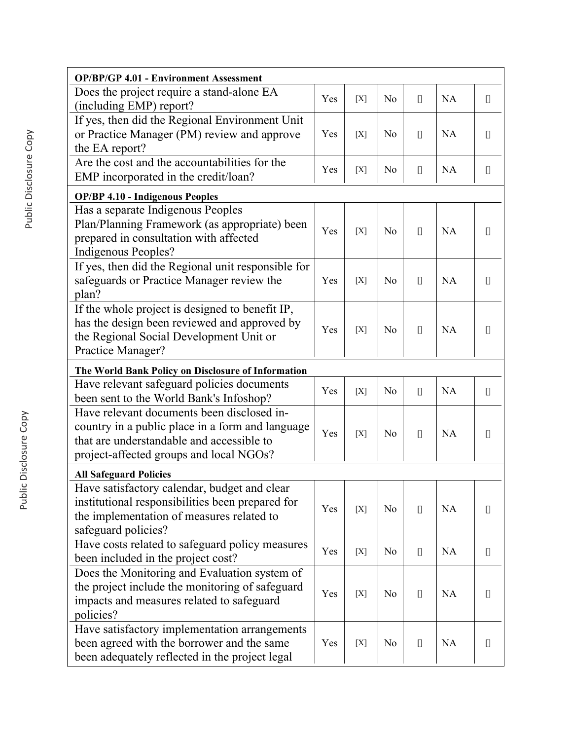| <b>OP/BP/GP 4.01 - Environment Assessment</b>                                                                                                                                          |     |       |                |                                                                                                                                                                                          |           |                                                                                                                                                                                                                                                                                                                                                                      |
|----------------------------------------------------------------------------------------------------------------------------------------------------------------------------------------|-----|-------|----------------|------------------------------------------------------------------------------------------------------------------------------------------------------------------------------------------|-----------|----------------------------------------------------------------------------------------------------------------------------------------------------------------------------------------------------------------------------------------------------------------------------------------------------------------------------------------------------------------------|
| Does the project require a stand-alone EA<br>(including EMP) report?                                                                                                                   | Yes | [X]   | N <sub>0</sub> | $[] \centering \includegraphics[width=0.47\textwidth]{images/TrDiS-Architecture.png} \caption{The 3D (top) and 4D (bottom) are shown in the left and right.} \label{TrDiS-Architecture}$ | <b>NA</b> | $[] \centering \includegraphics[width=0.47\textwidth]{images/TransY_1.png} \caption{The first two different values of $100$ K, $100$ K, $100$ K, $100$ K, $100$ K, $100$ K, $100$ K, $100$ K, $100$ K, $100$ K, $100$ K, $100$ K, $100$ K, $100$ K, $100$ K, $100$ K, $100$ K, $100$ K, $100$ K, $100$ K, $100$ K, $100$ K, $100$ K, $100$ K, $100$ K, $100$ K, $10$ |
| If yes, then did the Regional Environment Unit<br>or Practice Manager (PM) review and approve<br>the EA report?                                                                        | Yes | [X]   | N <sub>0</sub> | $\begin{bmatrix} 1 \end{bmatrix}$                                                                                                                                                        | <b>NA</b> | $[$                                                                                                                                                                                                                                                                                                                                                                  |
| Are the cost and the accountabilities for the<br>EMP incorporated in the credit/loan?                                                                                                  | Yes | [X]   | N <sub>0</sub> | $[$                                                                                                                                                                                      | NA        | $[]$                                                                                                                                                                                                                                                                                                                                                                 |
| <b>OP/BP 4.10 - Indigenous Peoples</b>                                                                                                                                                 |     |       |                |                                                                                                                                                                                          |           |                                                                                                                                                                                                                                                                                                                                                                      |
| Has a separate Indigenous Peoples<br>Plan/Planning Framework (as appropriate) been<br>prepared in consultation with affected<br><b>Indigenous Peoples?</b>                             | Yes | [X]   | N <sub>0</sub> | $[$                                                                                                                                                                                      | <b>NA</b> | $[$                                                                                                                                                                                                                                                                                                                                                                  |
| If yes, then did the Regional unit responsible for<br>safeguards or Practice Manager review the<br>plan?                                                                               | Yes | [X]   | No             | $[$                                                                                                                                                                                      | <b>NA</b> | $[$                                                                                                                                                                                                                                                                                                                                                                  |
| If the whole project is designed to benefit IP,<br>has the design been reviewed and approved by<br>the Regional Social Development Unit or<br>Practice Manager?                        | Yes | [X]   | No             | $\begin{bmatrix} 1 \end{bmatrix}$                                                                                                                                                        | <b>NA</b> | $[$                                                                                                                                                                                                                                                                                                                                                                  |
| The World Bank Policy on Disclosure of Information                                                                                                                                     |     |       |                |                                                                                                                                                                                          |           |                                                                                                                                                                                                                                                                                                                                                                      |
| Have relevant safeguard policies documents<br>been sent to the World Bank's Infoshop?                                                                                                  | Yes | [X]   | N <sub>o</sub> | $\begin{bmatrix} 1 \end{bmatrix}$                                                                                                                                                        | <b>NA</b> | $[]$                                                                                                                                                                                                                                                                                                                                                                 |
| Have relevant documents been disclosed in-<br>country in a public place in a form and language<br>that are understandable and accessible to<br>project-affected groups and local NGOs? | Yes | [X]   | N <sub>o</sub> | $[$                                                                                                                                                                                      | <b>NA</b> | $[]$                                                                                                                                                                                                                                                                                                                                                                 |
| <b>All Safeguard Policies</b>                                                                                                                                                          |     |       |                |                                                                                                                                                                                          |           |                                                                                                                                                                                                                                                                                                                                                                      |
| Have satisfactory calendar, budget and clear<br>institutional responsibilities been prepared for<br>the implementation of measures related to<br>safeguard policies?                   | Yes | [X]   | No             | $[] \centering \includegraphics[width=0.47\textwidth]{images/TrDiS-Architecture.png} \caption{The 3D (top) and 4D (bottom) are shown in the left and right.} \label{TrDiS-Architecture}$ | <b>NA</b> |                                                                                                                                                                                                                                                                                                                                                                      |
| Have costs related to safeguard policy measures<br>been included in the project cost?                                                                                                  | Yes | $[X]$ | N <sub>0</sub> | $[] \centering \includegraphics[width=0.47\textwidth]{images/TrDiS-Architecture.png} \caption{The 3D (top) and 4D (bottom) are shown in the left and right.} \label{TrDiS-Architecture}$ | <b>NA</b> |                                                                                                                                                                                                                                                                                                                                                                      |
| Does the Monitoring and Evaluation system of<br>the project include the monitoring of safeguard<br>impacts and measures related to safeguard<br>policies?                              | Yes | [X]   | No             | $[$                                                                                                                                                                                      | <b>NA</b> |                                                                                                                                                                                                                                                                                                                                                                      |
| Have satisfactory implementation arrangements<br>been agreed with the borrower and the same<br>been adequately reflected in the project legal                                          | Yes | $[X]$ | N <sub>0</sub> | $\begin{bmatrix} 1 \end{bmatrix}$                                                                                                                                                        | <b>NA</b> |                                                                                                                                                                                                                                                                                                                                                                      |